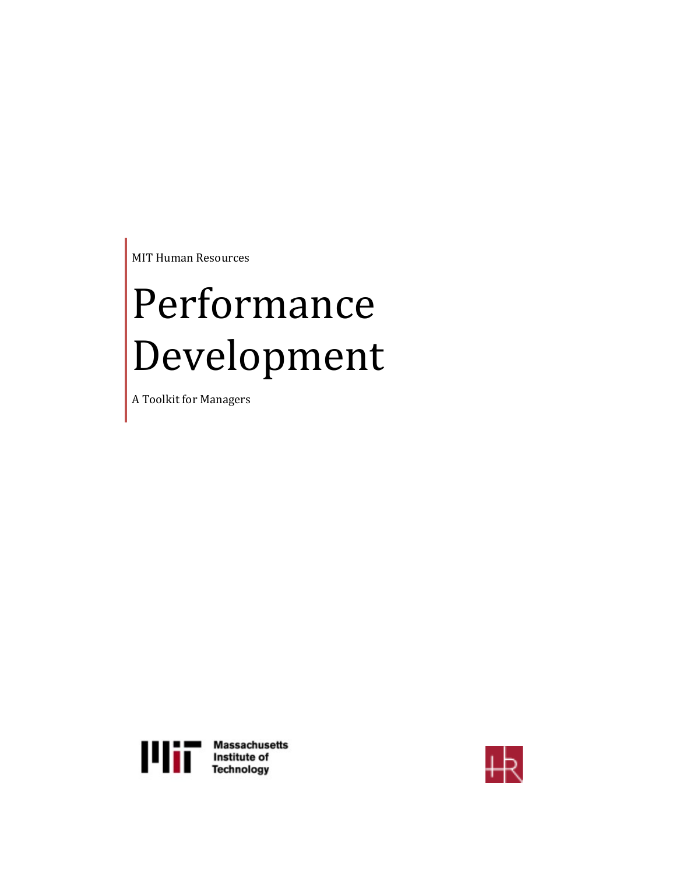MIT Human Resources

# Performance Development

A Toolkit for Managers



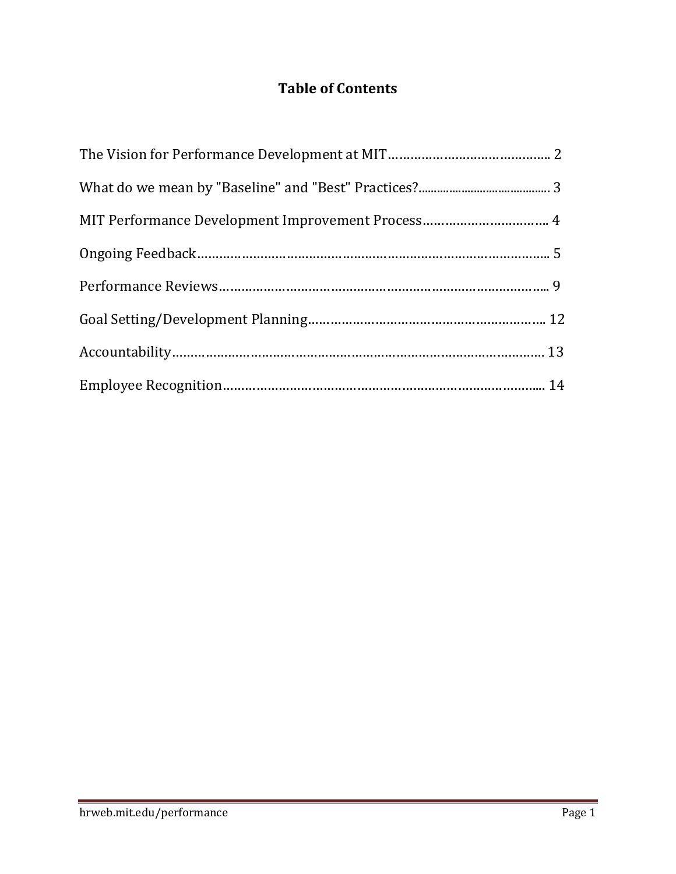# **Table of Contents**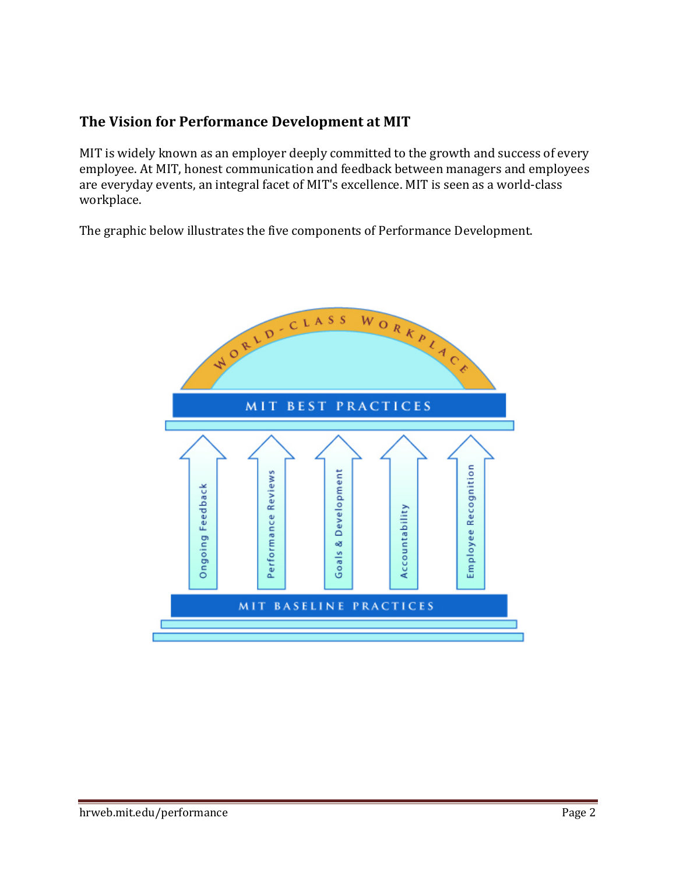# **The Vision for Performance Development at MIT**

MIT is widely known as an employer deeply committed to the growth and success of every employee. At MIT, honest communication and feedback between managers and employees are everyday events, an integral facet of MIT's excellence. MIT is seen as a world-class workplace. 

The graphic below illustrates the five components of Performance Development.

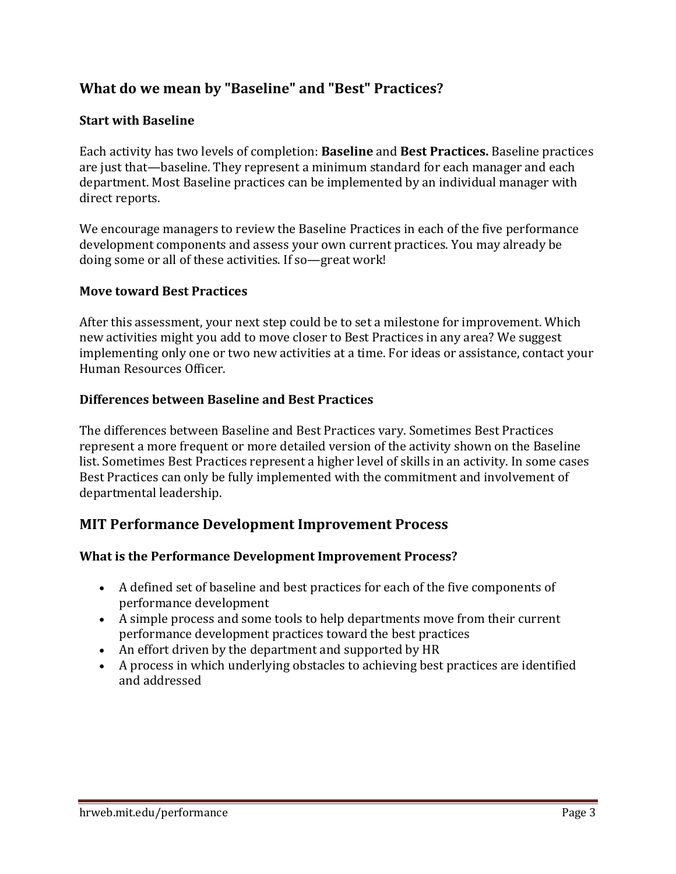# **What do we mean by "Baseline" and "Best" Practices?**

# **Start with Baseline**

Each activity has two levels of completion: **Baseline** and **Best Practices.** Baseline practices are just that—baseline. They represent a minimum standard for each manager and each department. Most Baseline practices can be implemented by an individual manager with direct reports.

We encourage managers to review the Baseline Practices in each of the five performance development components and assess your own current practices. You may already be doing some or all of these activities. If so-great work!

# **Move toward Best Practices**

After this assessment, your next step could be to set a milestone for improvement. Which new activities might you add to move closer to Best Practices in any area? We suggest implementing only one or two new activities at a time. For ideas or assistance, contact your Human Resources Officer. 

# **Differences between Baseline and Best Practices**

The differences between Baseline and Best Practices vary. Sometimes Best Practices represent a more frequent or more detailed version of the activity shown on the Baseline list. Sometimes Best Practices represent a higher level of skills in an activity. In some cases Best Practices can only be fully implemented with the commitment and involvement of departmental leadership.

# **MIT Performance Development Improvement Process**

# **What is the Performance Development Improvement Process?**

- A defined set of baseline and best practices for each of the five components of performance development
- A simple process and some tools to help departments move from their current performance development practices toward the best practices
- An effort driven by the department and supported by HR
- A process in which underlying obstacles to achieving best practices are identified and addressed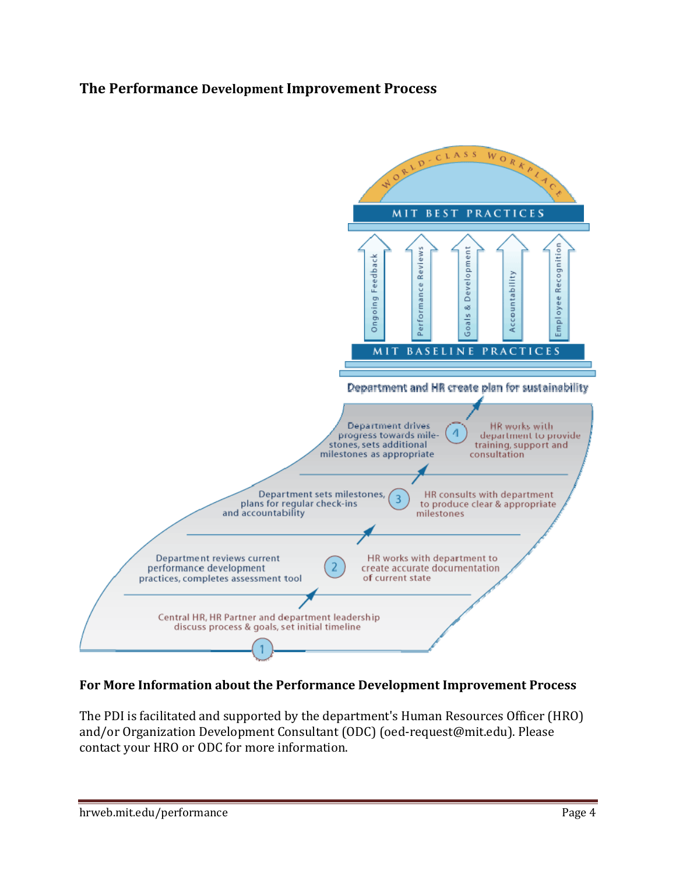# **The Performance Development Improvement Process**



# **For More Information about the Performance Development Improvement Process**

The PDI is facilitated and supported by the department's Human Resources Officer (HRO) and/or Organization Development Consultant (ODC) (oed-request@mit.edu). Please contact your HRO or ODC for more information.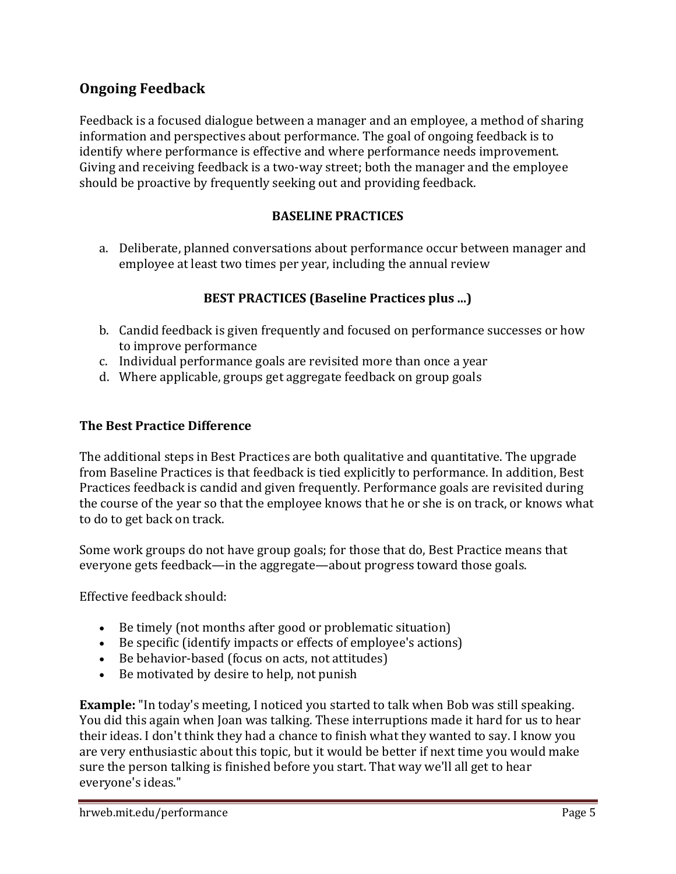# **Ongoing Feedback**

Feedback is a focused dialogue between a manager and an employee, a method of sharing information and perspectives about performance. The goal of ongoing feedback is to identify where performance is effective and where performance needs improvement. Giving and receiving feedback is a two-way street; both the manager and the employee should be proactive by frequently seeking out and providing feedback.

# **BASELINE PRACTICES**

a. Deliberate, planned conversations about performance occur between manager and employee at least two times per year, including the annual review

# **BEST PRACTICES (Baseline Practices plus ...)**

- b. Candid feedback is given frequently and focused on performance successes or how to improve performance
- c. Individual performance goals are revisited more than once a year
- d. Where applicable, groups get aggregate feedback on group goals

# **The Best Practice Difference**

The additional steps in Best Practices are both qualitative and quantitative. The upgrade from Baseline Practices is that feedback is tied explicitly to performance. In addition, Best Practices feedback is candid and given frequently. Performance goals are revisited during the course of the year so that the employee knows that he or she is on track, or knows what to do to get back on track.

Some work groups do not have group goals; for those that do, Best Practice means that everyone gets feedback—in the aggregate—about progress toward those goals.

Effective feedback should:

- Be timely (not months after good or problematic situation)
- Be specific (identify impacts or effects of employee's actions)
- Be behavior-based (focus on acts, not attitudes)
- Be motivated by desire to help, not punish

**Example:** "In today's meeting, I noticed you started to talk when Bob was still speaking. You did this again when Joan was talking. These interruptions made it hard for us to hear their ideas. I don't think they had a chance to finish what they wanted to say. I know you are very enthusiastic about this topic, but it would be better if next time you would make sure the person talking is finished before you start. That way we'll all get to hear everyone's ideas."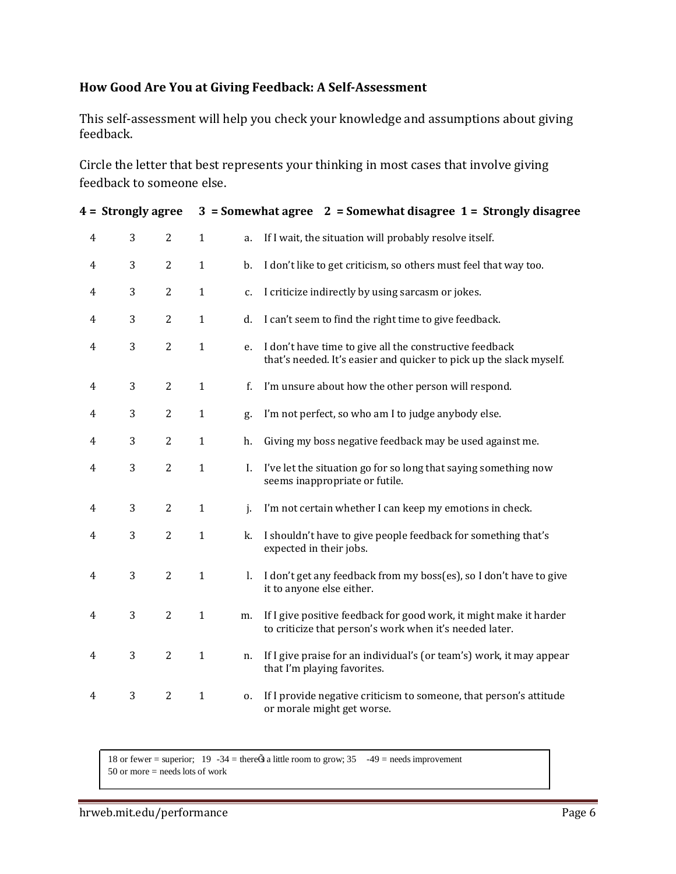# **How Good Are You at Giving Feedback: A Self‐Assessment**

This self-assessment will help you check your knowledge and assumptions about giving feedback. 

Circle the letter that best represents your thinking in most cases that involve giving feedback to someone else.

| 4 = Strongly agree |   |                |              | $3 =$ Somewhat agree $2 =$ Somewhat disagree $1 =$ Strongly disagree |                                                                                                                                |
|--------------------|---|----------------|--------------|----------------------------------------------------------------------|--------------------------------------------------------------------------------------------------------------------------------|
| $\overline{4}$     | 3 | $\overline{c}$ | $\mathbf{1}$ | a.                                                                   | If I wait, the situation will probably resolve itself.                                                                         |
| $\overline{4}$     | 3 | $\overline{c}$ | $\mathbf{1}$ | b.                                                                   | I don't like to get criticism, so others must feel that way too.                                                               |
| $\overline{4}$     | 3 | $\overline{c}$ | $\mathbf{1}$ | c.                                                                   | I criticize indirectly by using sarcasm or jokes.                                                                              |
| $\overline{4}$     | 3 | $\overline{c}$ | $\mathbf{1}$ | d.                                                                   | I can't seem to find the right time to give feedback.                                                                          |
| $\overline{4}$     | 3 | $\overline{2}$ | $\mathbf{1}$ | e.                                                                   | I don't have time to give all the constructive feedback<br>that's needed. It's easier and quicker to pick up the slack myself. |
| 4                  | 3 | $\overline{c}$ | $\mathbf{1}$ | f.                                                                   | I'm unsure about how the other person will respond.                                                                            |
| 4                  | 3 | $\overline{c}$ | $\mathbf{1}$ | g.                                                                   | I'm not perfect, so who am I to judge anybody else.                                                                            |
| $\overline{4}$     | 3 | $\overline{c}$ | $\mathbf{1}$ | h.                                                                   | Giving my boss negative feedback may be used against me.                                                                       |
| $\overline{4}$     | 3 | $\overline{c}$ | $\mathbf{1}$ | I.                                                                   | I've let the situation go for so long that saying something now<br>seems inappropriate or futile.                              |
| $\overline{4}$     | 3 | $\overline{c}$ | $\mathbf{1}$ | j.                                                                   | I'm not certain whether I can keep my emotions in check.                                                                       |
| 4                  | 3 | $\overline{c}$ | $\mathbf{1}$ | k.                                                                   | I shouldn't have to give people feedback for something that's<br>expected in their jobs.                                       |
| 4                  | 3 | $\overline{c}$ | $\mathbf{1}$ | I.                                                                   | I don't get any feedback from my boss(es), so I don't have to give<br>it to anyone else either.                                |
| 4                  | 3 | $\overline{c}$ | $\mathbf{1}$ | m.                                                                   | If I give positive feedback for good work, it might make it harder<br>to criticize that person's work when it's needed later.  |
| 4                  | 3 | $\overline{c}$ | $\mathbf{1}$ | n.                                                                   | If I give praise for an individual's (or team's) work, it may appear<br>that I'm playing favorites.                            |
| 4                  | 3 | $\overline{2}$ | $\mathbf{1}$ | 0.                                                                   | If I provide negative criticism to someone, that person's attitude<br>or morale might get worse.                               |

18 or fewer = superior; 19 -34 = there $\tilde{Q}$  a little room to grow; 35 -49 = needs improvement

50 or more = needs lots of work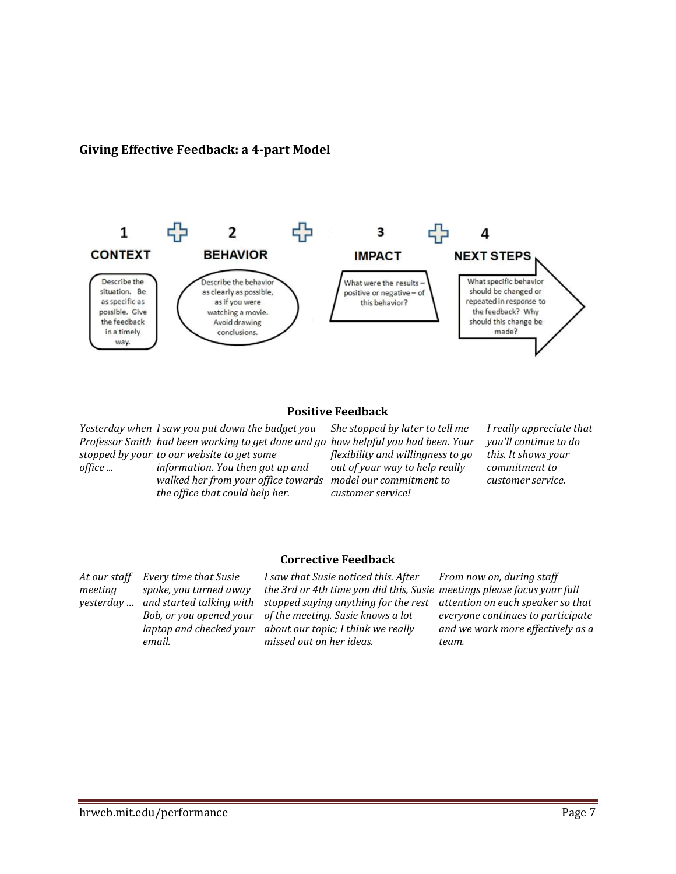### **Giving Effective Feedback: a 4‐part Model**



#### **Positive Feedback**

*Yesterday when I saw you put down the budget you Professor Smith had been working to get done and go stopped by your to our website to get some office ... information. You then got up and walked her from your office towards model our commitment to the office that could help her.*

*She stopped by later to tell me how helpful you had been. Your flexibility and willingness to go out of your way to help really customer service!*

*I really appreciate that you'll continue to do this. It shows your commitment to customer service.*

**Corrective Feedback**

*At our staff meeting yesterday … Every time that Susie spoke, you turned away and started talking with Bob, or you opened your laptop and checked your email.*

*I saw that Susie noticed this. After the 3rd or 4th time you did this, Susie meetings please focus your full stopped saying anything for the rest of the meeting. Susie knows a lot about our topic; I think we really missed out on her ideas.*

*From now on, during staff attention on each speaker so that everyone continues to participate and we work more effectively as a team.*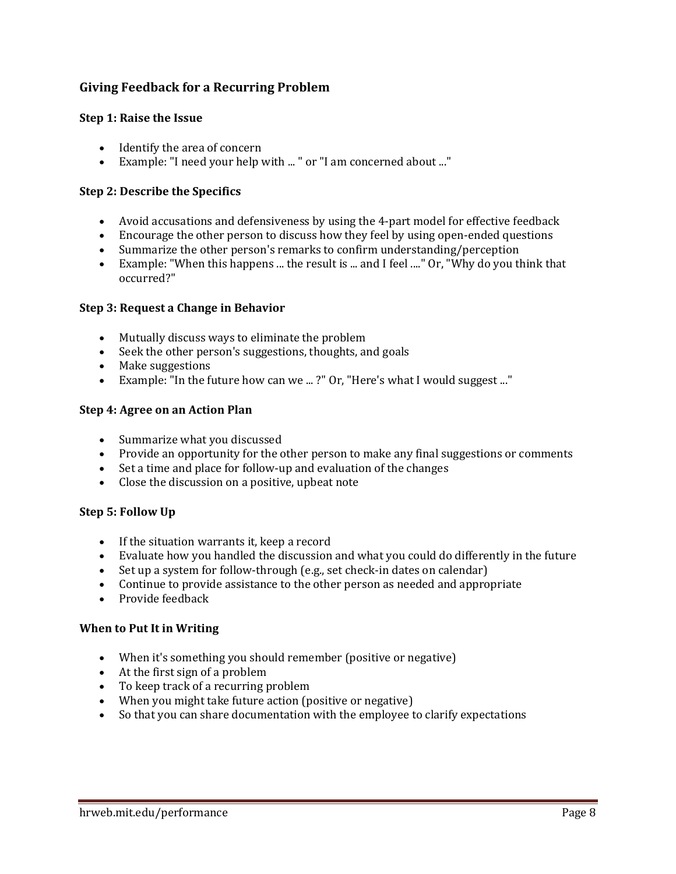# **Giving Feedback for a Recurring Problem**

#### **Step 1: Raise the Issue**

- $\bullet$  Identify the area of concern
- Example: "I need your help with ..." or "I am concerned about ..."

#### **Step 2: Describe the Specifics**

- Avoid accusations and defensiveness by using the 4-part model for effective feedback
- Encourage the other person to discuss how they feel by using open-ended questions
- Summarize the other person's remarks to confirm understanding/perception
- Example: "When this happens ... the result is ... and I feel ...." Or, "Why do you think that occurred?"

#### **Step 3: Request a Change in Behavior**

- Mutually discuss ways to eliminate the problem
- Seek the other person's suggestions, thoughts, and goals
- Make suggestions
- Example: "In the future how can we ...?" Or, "Here's what I would suggest ..."

#### **Step 4: Agree on an Action Plan**

- Summarize what you discussed
- Provide an opportunity for the other person to make any final suggestions or comments
- Set a time and place for follow-up and evaluation of the changes
- Close the discussion on a positive, upbeat note

#### **Step 5: Follow Up**

- $\bullet$  If the situation warrants it, keep a record
- Evaluate how you handled the discussion and what you could do differently in the future
- Set up a system for follow-through (e.g., set check-in dates on calendar)
- Continue to provide assistance to the other person as needed and appropriate
- $\bullet$  Provide feedback

#### **When to Put It in Writing**

- When it's something you should remember (positive or negative)
- $\bullet$  At the first sign of a problem
- To keep track of a recurring problem
- When you might take future action (positive or negative)
- So that you can share documentation with the employee to clarify expectations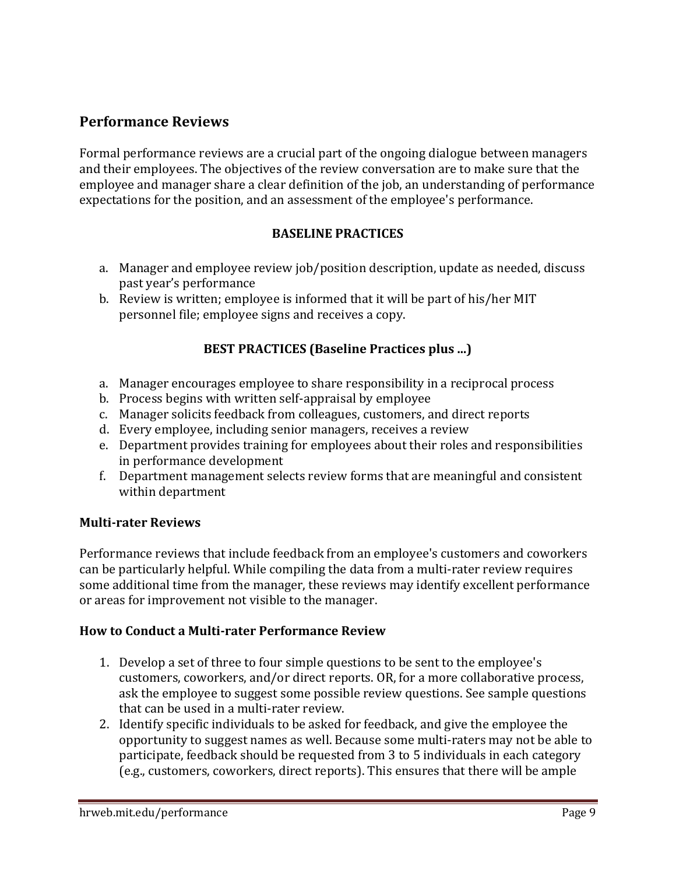# **Performance Reviews**

Formal performance reviews are a crucial part of the ongoing dialogue between managers and their employees. The objectives of the review conversation are to make sure that the employee and manager share a clear definition of the job, an understanding of performance expectations for the position, and an assessment of the employee's performance.

# **BASELINE PRACTICES**

- a. Manager and employee review job/position description, update as needed, discuss past year's performance
- b. Review is written; employee is informed that it will be part of his/her MIT personnel file; employee signs and receives a copy.

# **BEST PRACTICES (Baseline Practices plus ...)**

- a. Manager encourages employee to share responsibility in a reciprocal process
- b. Process begins with written self-appraisal by employee
- c. Manager solicits feedback from colleagues, customers, and direct reports
- d. Every employee, including senior managers, receives a review
- e. Department provides training for employees about their roles and responsibilities in performance development
- f. Department management selects review forms that are meaningful and consistent within department

# **Multi‐rater Reviews**

Performance reviews that include feedback from an employee's customers and coworkers can be particularly helpful. While compiling the data from a multi-rater review requires some additional time from the manager, these reviews may identify excellent performance or areas for improvement not visible to the manager.

# **How to Conduct a Multi‐rater Performance Review**

- 1. Develop a set of three to four simple questions to be sent to the employee's customers, coworkers, and/or direct reports. OR, for a more collaborative process, ask the employee to suggest some possible review questions. See sample questions that can be used in a multi-rater review.
- 2. Identify specific individuals to be asked for feedback, and give the employee the opportunity to suggest names as well. Because some multi-raters may not be able to participate, feedback should be requested from 3 to 5 individuals in each category (e.g., customers, coworkers, direct reports). This ensures that there will be ample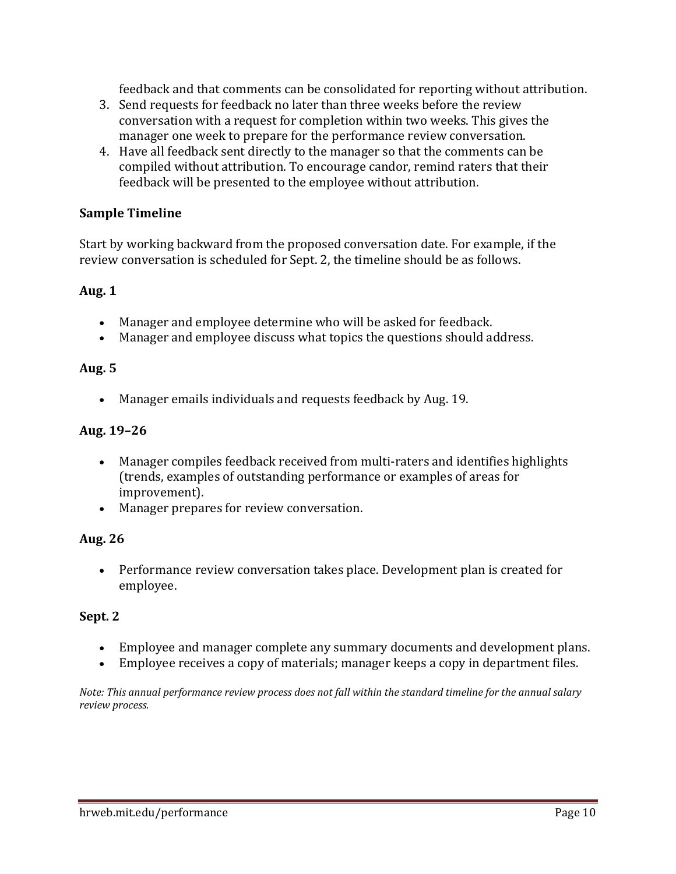feedback and that comments can be consolidated for reporting without attribution.

- 3. Send requests for feedback no later than three weeks before the review conversation with a request for completion within two weeks. This gives the manager one week to prepare for the performance review conversation.
- 4. Have all feedback sent directly to the manager so that the comments can be compiled without attribution. To encourage candor, remind raters that their feedback will be presented to the employee without attribution.

# **Sample Timeline**

Start by working backward from the proposed conversation date. For example, if the review conversation is scheduled for Sept. 2, the timeline should be as follows.

# **Aug. 1**

- Manager and employee determine who will be asked for feedback.
- Manager and employee discuss what topics the questions should address.

# **Aug. 5**

• Manager emails individuals and requests feedback by Aug. 19.

# **Aug. 19–26**

- Manager compiles feedback received from multi-raters and identifies highlights (trends, examples of outstanding performance or examples of areas for improvement).
- Manager prepares for review conversation.

# **Aug. 26**

• Performance review conversation takes place. Development plan is created for employee. 

# **Sept. 2**

- Employee and manager complete any summary documents and development plans.
- Employee receives a copy of materials; manager keeps a copy in department files.

Note: This annual performance review process does not fall within the standard timeline for the annual salary *review process.*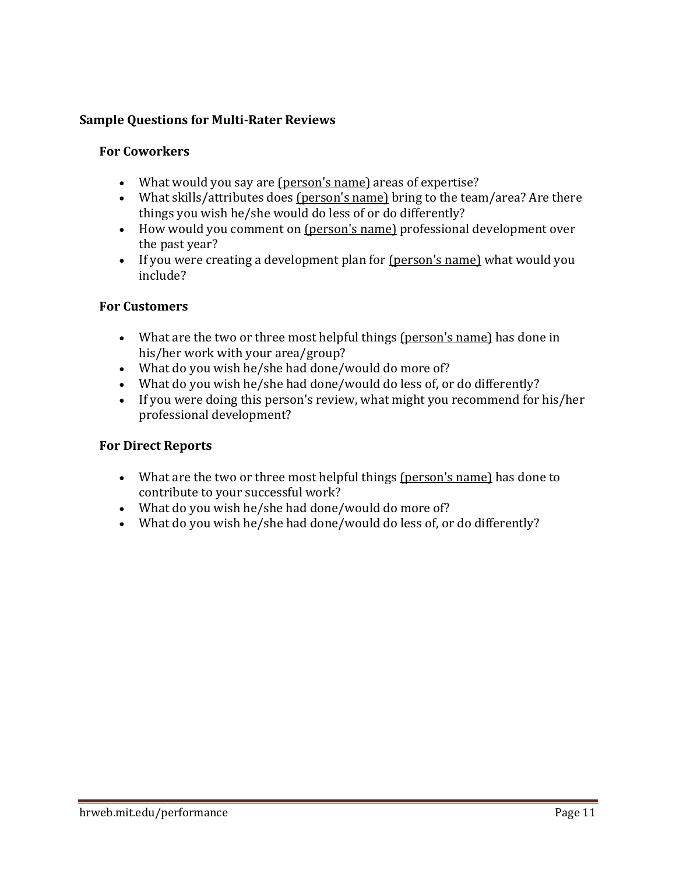# **Sample Questions for Multi‐Rater Reviews**

### **For Coworkers**

- What would you say are (person's name) areas of expertise?
- What skills/attributes does  ${\frac{\text{person's name}}{\text{h} \cdot \text{temp}}}$  bring to the team/area? Are there things you wish he/she would do less of or do differently?
- How would you comment on (person's name) professional development over the past year?
- If you were creating a development plan for  $(person's name)$  what would you include?

# **For Customers**

- What are the two or three most helpful things (person's name) has done in his/her work with your area/group?
- What do you wish he/she had done/would do more of?
- What do you wish he/she had done/would do less of, or do differently?
- If you were doing this person's review, what might you recommend for his/her professional development?

# **For Direct Reports**

- What are the two or three most helpful things (person's name) has done to contribute to your successful work?
- What do you wish he/she had done/would do more of?
- What do you wish he/she had done/would do less of, or do differently?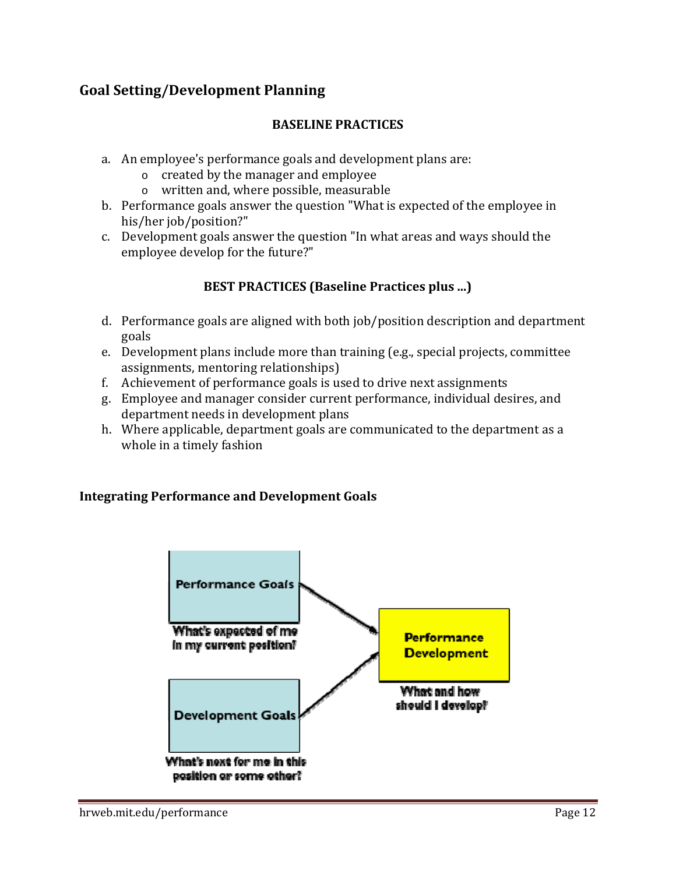# **Goal Setting/Development Planning**

# **BASELINE PRACTICES**

- a. An employee's performance goals and development plans are:
	- $\circ$  created by the manager and employee
	- o written and, where possible, measurable
- b. Performance goals answer the question "What is expected of the employee in his/her job/position?"
- c. Development goals answer the question "In what areas and ways should the employee develop for the future?"

# **BEST PRACTICES (Baseline Practices plus ...)**

- d. Performance goals are aligned with both job/position description and department goals
- e. Development plans include more than training (e.g., special projects, committee assignments, mentoring relationships)
- f. Achievement of performance goals is used to drive next assignments
- g. Employee and manager consider current performance, individual desires, and department needs in development plans
- h. Where applicable, department goals are communicated to the department as a whole in a timely fashion

# **Integrating Performance and Development Goals**

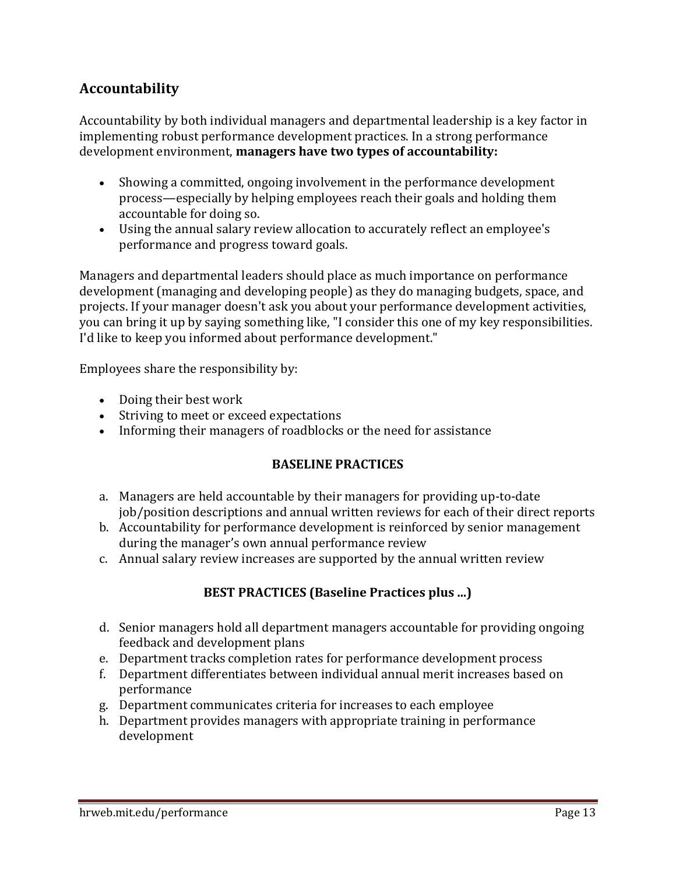# **Accountability**

Accountability by both individual managers and departmental leadership is a key factor in implementing robust performance development practices. In a strong performance development environment, **managers have two types of accountability:**

- Showing a committed, ongoing involvement in the performance development process—especially by helping employees reach their goals and holding them accountable for doing so.
- Using the annual salary review allocation to accurately reflect an employee's performance and progress toward goals.

Managers and departmental leaders should place as much importance on performance development (managing and developing people) as they do managing budgets, space, and projects. If your manager doesn't ask you about your performance development activities, you can bring it up by saying something like, "I consider this one of my key responsibilities. I'd like to keep you informed about performance development."

Employees share the responsibility by:

- Doing their best work
- Striving to meet or exceed expectations
- Informing their managers of roadblocks or the need for assistance

# **BASELINE PRACTICES**

- a. Managers are held accountable by their managers for providing up-to-date job/position descriptions and annual written reviews for each of their direct reports
- b. Accountability for performance development is reinforced by senior management during the manager's own annual performance review
- c. Annual salary review increases are supported by the annual written review

# **BEST PRACTICES (Baseline Practices plus ...)**

- d. Senior managers hold all department managers accountable for providing ongoing feedback and development plans
- e. Department tracks completion rates for performance development process
- f. Department differentiates between individual annual merit increases based on performance
- g. Department communicates criteria for increases to each employee
- h. Department provides managers with appropriate training in performance development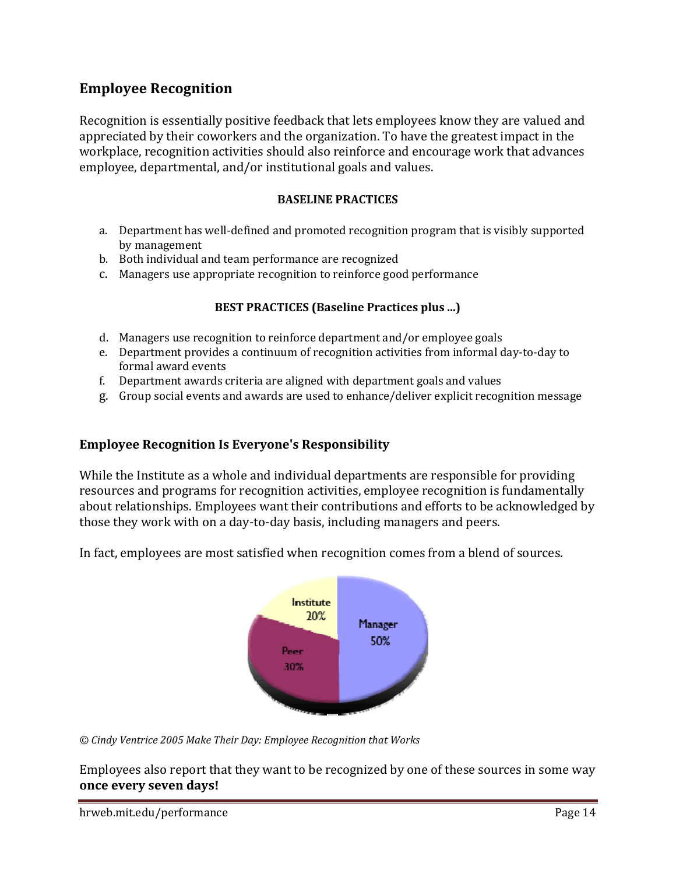# **Employee Recognition**

Recognition is essentially positive feedback that lets employees know they are valued and appreciated by their coworkers and the organization. To have the greatest impact in the workplace, recognition activities should also reinforce and encourage work that advances employee, departmental, and/or institutional goals and values.

#### **BASELINE PRACTICES**

- a. Department has well-defined and promoted recognition program that is visibly supported by management
- b. Both individual and team performance are recognized
- c. Managers use appropriate recognition to reinforce good performance

#### **BEST PRACTICES (Baseline Practices plus ...)**

- d. Managers use recognition to reinforce department and/or employee goals
- e. Department provides a continuum of recognition activities from informal day-to-day to formal award events
- f. Department awards criteria are aligned with department goals and values
- g. Group social events and awards are used to enhance/deliver explicit recognition message

#### **Employee Recognition Is Everyone's Responsibility**

While the Institute as a whole and individual departments are responsible for providing resources and programs for recognition activities, employee recognition is fundamentally about relationships. Employees want their contributions and efforts to be acknowledged by those they work with on a day-to-day basis, including managers and peers.



In fact, employees are most satisfied when recognition comes from a blend of sources.

*© Cindy Ventrice 2005 Make Their Day: Employee Recognition that Works*

Employees also report that they want to be recognized by one of these sources in some way **once every seven days!**

hrweb.mit.edu/performance **Page 14**